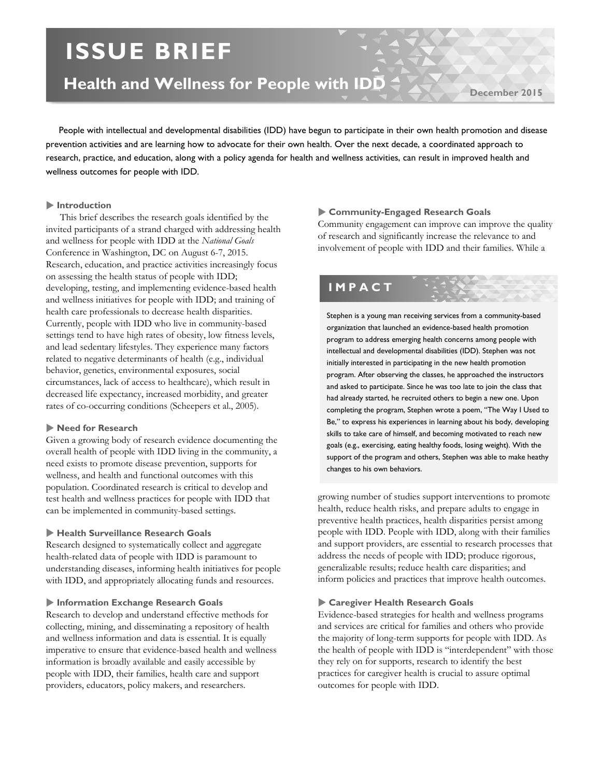# **ISSUE BRIEF**

## **Health and Wellness for People with IDD**

December 20<sup>1</sup>

 People with intellectual and developmental disabilities (IDD) have begun to participate in their own health promotion and disease prevention activities and are learning how to advocate for their own health. Over the next decade, a coordinated approach to research, practice, and education, along with a policy agenda for health and wellness activities, can result in improved health and wellness outcomes for people with IDD.

#### **Introduction**

This brief describes the research goals identified by the invited participants of a strand charged with addressing health and wellness for people with IDD at the *National Goals*  Conference in Washington, DC on August 6-7, 2015. Research, education, and practice activities increasingly focus on assessing the health status of people with IDD; developing, testing, and implementing evidence-based health and wellness initiatives for people with IDD; and training of health care professionals to decrease health disparities. Currently, people with IDD who live in community-based settings tend to have high rates of obesity, low fitness levels, and lead sedentary lifestyles. They experience many factors related to negative determinants of health (e.g., individual behavior, genetics, environmental exposures, social circumstances, lack of access to healthcare), which result in decreased life expectancy, increased morbidity, and greater rates of co-occurring conditions (Scheepers et al., 2005).

#### **Need for Research**

Given a growing body of research evidence documenting the overall health of people with IDD living in the community, a need exists to promote disease prevention, supports for wellness, and health and functional outcomes with this population. Coordinated research is critical to develop and test health and wellness practices for people with IDD that can be implemented in community-based settings.

#### **Health Surveillance Research Goals**

Research designed to systematically collect and aggregate health-related data of people with IDD is paramount to understanding diseases, informing health initiatives for people with IDD, and appropriately allocating funds and resources.

#### **Information Exchange Research Goals**

Research to develop and understand effective methods for collecting, mining, and disseminating a repository of health and wellness information and data is essential. It is equally imperative to ensure that evidence-based health and wellness information is broadly available and easily accessible by people with IDD, their families, health care and support providers, educators, policy makers, and researchers.

#### **Community-Engaged Research Goals**

Community engagement can improve can improve the quality of research and significantly increase the relevance to and involvement of people with IDD and their families. While a

### **IMPACT**

Stephen is a young man receiving services from a community-based organization that launched an evidence-based health promotion program to address emerging health concerns among people with intellectual and developmental disabilities (IDD). Stephen was not initially interested in participating in the new health promotion program. After observing the classes, he approached the instructors and asked to participate. Since he was too late to join the class that had already started, he recruited others to begin a new one. Upon completing the program, Stephen wrote a poem, "The Way I Used to Be," to express his experiences in learning about his body, developing skills to take care of himself, and becoming motivated to reach new goals (e.g., exercising, eating healthy foods, losing weight). With the support of the program and others, Stephen was able to make heathy changes to his own behaviors.

growing number of studies support interventions to promote health, reduce health risks, and prepare adults to engage in preventive health practices, health disparities persist among people with IDD. People with IDD, along with their families and support providers, are essential to research processes that address the needs of people with IDD; produce rigorous, generalizable results; reduce health care disparities; and inform policies and practices that improve health outcomes.

#### **Caregiver Health Research Goals**

Evidence-based strategies for health and wellness programs and services are critical for families and others who provide the majority of long-term supports for people with IDD. As the health of people with IDD is "interdependent" with those they rely on for supports, research to identify the best practices for caregiver health is crucial to assure optimal outcomes for people with IDD.